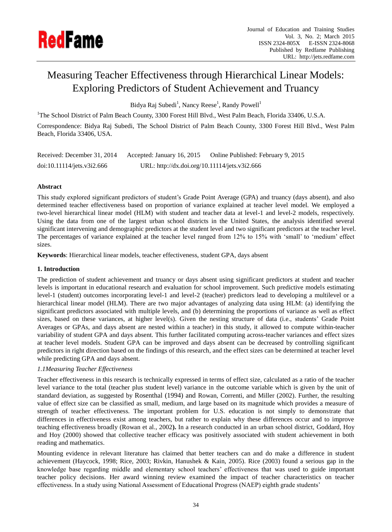

# Measuring Teacher Effectiveness through Hierarchical Linear Models: Exploring Predictors of Student Achievement and Truancy

Bidya Raj Subedi<sup>1</sup>, Nancy Reese<sup>1</sup>, Randy Powell<sup>1</sup>

<sup>1</sup>The School District of Palm Beach County, 3300 Forest Hill Blvd., West Palm Beach, Florida 33406, U.S.A.

Correspondence: Bidya Raj Subedi, The School District of Palm Beach County, 3300 Forest Hill Blvd., West Palm Beach, Florida 33406, USA.

| Received: December 31, 2014 | Accepted: January 16, 2015                    | Online Published: February 9, 2015 |
|-----------------------------|-----------------------------------------------|------------------------------------|
| doi:10.11114/jets.v3i2.666  | URL: http://dx.doi.org/10.11114/jets.v3i2.666 |                                    |

# **Abstract**

This study explored significant predictors of student's Grade Point Average (GPA) and truancy (days absent), and also determined teacher effectiveness based on proportion of variance explained at teacher level model. We employed a two-level hierarchical linear model (HLM) with student and teacher data at level-1 and level-2 models, respectively. Using the data from one of the largest urban school districts in the United States, the analysis identified several significant intervening and demographic predictors at the student level and two significant predictors at the teacher level. The percentages of variance explained at the teacher level ranged from 12% to 15% with 'small' to 'medium' effect sizes.

**Keywords**: Hierarchical linear models, teacher effectiveness, student GPA, days absent

# **1. Introduction**

The prediction of student achievement and truancy or days absent using significant predictors at student and teacher levels is important in educational research and evaluation for school improvement. Such predictive models estimating level-1 (student) outcomes incorporating level-1 and level-2 (teacher) predictors lead to developing a multilevel or a hierarchical linear model (HLM). There are two major advantages of analyzing data using HLM: (a) identifying the significant predictors associated with multiple levels, and (b) determining the proportions of variance as well as effect sizes, based on these variances, at higher level(s). Given the nesting structure of data (i.e., students' Grade Point Averages or GPAs, and days absent are nested within a teacher) in this study, it allowed to compute within-teacher variability of student GPA and days absent. This further facilitated computing across-teacher variances and effect sizes at teacher level models. Student GPA can be improved and days absent can be decreased by controlling significant predictors in right direction based on the findings of this research, and the effect sizes can be determined at teacher level while predicting GPA and days absent.

# *1.1Measuring Teacher Effectiveness*

Teacher effectiveness in this research is technically expressed in terms of effect size, calculated as a ratio of the teacher level variance to the total (teacher plus student level) variance in the outcome variable which is given by the unit of standard deviation, as suggested by Rosenthal (1994) and Rowan, Correnti, and Miller (2002). Further, the resulting value of effect size can be classified as small, medium, and large based on its magnitude which provides a measure of strength of teacher effectiveness. The important problem for U.S. education is not simply to demonstrate that differences in effectiveness exist among teachers, but rather to explain why these differences occur and to improve teaching effectiveness broadly (Rowan et al., 2002**).** In a research conducted in an urban school district, Goddard, Hoy and Hoy (2000) showed that collective teacher efficacy was positively associated with student achievement in both reading and mathematics.

Mounting evidence in relevant literature has claimed that better teachers can and do make a difference in student achievement (Haycock, 1998; Rice, 2003; Rivkin, Hanushek & Kain, 2005). Rice (2003) found a serious gap in the knowledge base regarding middle and elementary school teachers' effectiveness that was used to guide important teacher policy decisions. Her award winning review examined the impact of teacher characteristics on teacher effectiveness. In a study using National Assessment of Educational Progress (NAEP) eighth grade students'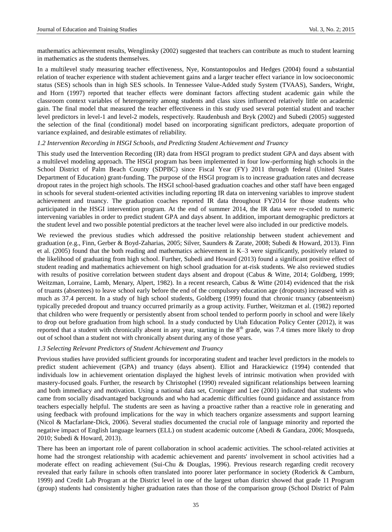mathematics achievement results, Wenglinsky (2002) suggested that teachers can contribute as much to student learning in mathematics as the students themselves.

In a multilevel study measuring teacher effectiveness, Nye, Konstantopoulos and Hedges (2004) found a substantial relation of teacher experience with student achievement gains and a larger teacher effect variance in low socioeconomic status (SES) schools than in high SES schools. In Tennessee Value-Added study System (TVAAS), Sanders, [Wright,](http://link.springer.com/search?facet-author=%22William+L.+Sanders%22)  and Horn (1997) reported that teacher effects were dominant factors affecting student academic gain while the classroom context variables of heterogeneity among students and class sizes influenced relatively little on academic gain. The final model that measured the teacher effectiveness in this study used several potential student and teacher level predictors in level-1 and level-2 models, respectively. Raudenbush and Bryk (2002) and Subedi (2005) suggested the selection of the final (conditional) model based on incorporating significant predictors, adequate proportion of variance explained, and desirable estimates of reliability.

#### *1.2 Intervention Recording in HSGI Schools, and Predicting Student Achievement and Truancy*

This study used the Intervention Recording (IR) data from HSGI program to predict student GPA and days absent with a multilevel modeling approach. The HSGI program has been implemented in four low-performing high schools in the School District of Palm Beach County (SDPBC) since Fiscal Year (FY) 2011 through federal (United States Department of Education) grant-funding. The purpose of the HSGI program is to increase graduation rates and decrease dropout rates in the project high schools. The HSGI school-based graduation coaches and other staff have been engaged in schools for several student-oriented activities including reporting IR data on intervening variables to improve student achievement and truancy. The graduation coaches reported IR data throughout FY2014 for those students who participated in the HSGI intervention program. At the end of summer 2014, the IR data were re-coded to numeric intervening variables in order to predict student GPA and days absent. In addition, important demographic predictors at the student level and two possible potential predictors at the teacher level were also included in our predictive models.

We reviewed the previous studies which addressed the positive relationship between student achievement and graduation (e.g., Finn, Gerber & Boyd-Zaharias, 2005; Silver, Saunders & Zarate, 2008; Subedi & Howard, 2013). Finn et al. (2005) found that the both reading and mathematics achievement in K–3 were significantly, positively related to the likelihood of graduating from high school. Further, Subedi and Howard (2013) found a significant positive effect of student reading and mathematics achievement on high school graduation for at-risk students. We also reviewed studies with results of positive correlation between student days absent and dropout (Cabus & Witte, 2014; Goldberg, 1999; [Weitzman,](http://pediatrics.aappublications.org/search?author1=Michael+Weitzman&sortspec=date&submit=Submit) [Lorraine, L](http://pediatrics.aappublications.org/search?author1=Lorraine+V.+Klerman&sortspec=date&submit=Submit)amb, Menary, Alpert, 1982). In a recent research, Cabus & Witte (2014) evidenced that the risk of truants (absentees) to leave school early before the end of the compulsory education age (dropouts) increased with as much as 37.4 percent. In a study of high school students, Goldberg (1999) found that chronic truancy (absenteeism) typically preceded dropout and truancy occurred primarily as a group activity. Further, [Weitzman](http://pediatrics.aappublications.org/search?author1=Michael+Weitzman&sortspec=date&submit=Submit) et al. (1982) reported that children who were frequently or persistently absent from school tended to perform poorly in school and were likely to drop out before graduation from high school. In a study conducted by Utah Education Policy Center (2012), it was reported that a student with chronically absent in any year, starting in the  $8<sup>th</sup>$  grade, was 7.4 times more likely to drop out of school than a student not with chronically absent during any of those years.

## *1.3 Selecting Relevant Predictors of Student Achievement and Truancy*

Previous studies have provided sufficient grounds for incorporating student and teacher level predictors in the models to predict student achievement (GPA) and truancy (days absent). Elliot and Harackiewicz (1994) contended that individuals low in achievement orientation displayed the highest levels of intrinsic motivation when provided with mastery-focused goals. Further, the research by Christophel (1990) revealed significant relationships between learning and both immediacy and motivation. Using a national data set, Croninger and Lee (2001) indicated that students who came from socially disadvantaged backgrounds and who had academic difficulties found guidance and assistance from teachers especially helpful. The students are seen as having a proactive rather than a reactive role in generating and using feedback with profound implications for the way in which teachers organize assessments and support learning (Nicol & Macfarlane‐Dick, 2006). Several studies documented the crucial role of language minority and reported the negative impact of English language learners (ELL) on student academic outcome (Abedi & Gandara, 2006; Mosqueda, 2010; Subedi & Howard, 2013).

There has been an important role of parent collaboration in school academic activities. The school-related activities at home had the strongest relationship with academic achievement and parents' involvement in school activities had a moderate effect on reading achievement (Sui-Chu & Douglas, 1996). Previous research regarding credit recovery revealed that early failure in schools often translated into poorer later performance in society (Roderick & Camburn, 1999) and Credit Lab Program at the District level in one of the largest urban district showed that grade 11 Program (group) students had consistently higher graduation rates than those of the comparison group (School District of Palm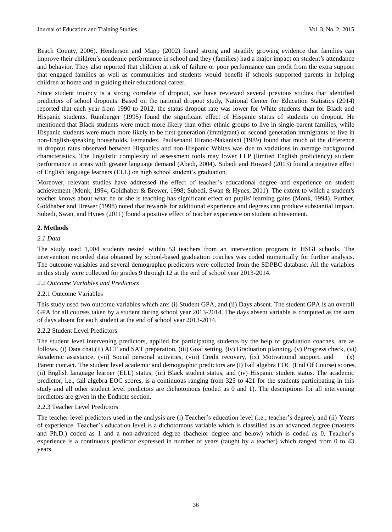Beach County, 2006). Henderson and Mapp (2002) found strong and steadily growing evidence that families can improve their children's academic performance in school and they (families) had a major impact on student's attendance and behavior. They also reported that children at risk of failure or poor performance can profit from the extra support that engaged families as well as communities and students would benefit if schools supported parents in helping children at home and in guiding their educational career.

Since student truancy is a strong correlate of dropout, we have reviewed several previous studies that identified predictors of school dropouts. Based on the national dropout study, [National Center for Education Statistics](http://nces.ed.gov/) (2014) reported that each year from 1990 to 2012, the status dropout rate was lower for White students than for Black and Hispanic students. Rumberger (1995) found the significant effect of Hispanic status of students on dropout. He mentioned that Black students were much more likely than other ethnic groups to live in single-parent families, while Hispanic students were much more likely to be first generation (immigrant) or second generation immigrants to live in non-English-speaking households. Fernandez, Paulsenand [Hirano-Nakanishi](http://www.sciencedirect.com/science/article/pii/0049089X89900021) (1989) found that much of the difference in dropout rates observed between Hispanics and non-Hispanic Whites was due to variations in average background characteristics. The linguistic complexity of assessment tools may lower LEP (limited English proficiency) student performance in areas with greater language demand (Abedi, 2004). Subedi and Howard (2013) found a negative effect of English language learners (ELL) on high school student's graduation.

Moreover, relevant studies have addressed the effect of teacher's educational degree and experience on student achievement (Monk, 1994; Goldhaber & Brewer, 1998; Subedi, Swan & Hynes, 2011). The extent to which a student's teacher knows about what he or she is teaching has significant effect on pupils' learning gains (Monk, 1994). Further, Goldhaber and Brewer (1998) noted that rewards for additional experience and degrees can produce substantial impact. Subedi, Swan, and Hynes (2011) found a positive effect of teacher experience on student achievement.

# **2. Methods**

# *2.1 Data*

The study used 1,004 students nested within 53 teachers from an intervention program in HSGI schools. The intervention recorded data obtained by school-based graduation coaches was coded numerically for further analysis. The outcome variables and several demographic predictors were collected from the SDPBC database. All the variables in this study were collected for grades 9 through 12 at the end of school year 2013-2014.

## *2.2 Outcome Variables and Predictors*

## 2.2.1 Outcome Variables

This study used two outcome variables which are: (i) Student GPA, and (ii) Days absent. The student GPA is an overall GPA for all courses taken by a student during school year 2013-2014. The days absent variable is computed as the sum of days absent for each student at the end of school year 2013-2014.

## 2.2.2 Student Level Predictors

The student level intervening predictors, applied for participating students by the help of graduation coaches, are as follows. (i) Data chat,(ii) ACT and SAT preparation, (iii) Goal setting, (iv) Graduation planning, (v) Progress check, (vi) Academic assistance, (vii) Social personal activities, (viii) Credit recovery, (ix) Motivational support, and (x) Parent contact. The student level academic and demographic predictors are (i) Fall algebra EOC (End Of Course) scores, (ii) English language learner (ELL) status, (iii) Black student status, and (iv) Hispanic student status. The academic predictor, i.e., fall algebra EOC scores, is a continuous ranging from 325 to 421 for the students participating in this study and all other student level predictors are dichotomous (coded as 0 and 1). The descriptions for all intervening predictors are given in the Endnote section.

## 2.2.3 Teacher Level Predictors

The teacher level predictors used in the analysis are (i) Teacher's education level (i.e., teacher's degree), and (ii) Years of experience. Teacher's education level is a dichotomous variable which is classified as an advanced degree (masters and Ph.D.) coded as 1 and a non-advanced degree (bachelor degree and below) which is coded as 0. Teacher's experience is a continuous predictor expressed in number of years (taught by a teacher) which ranged from 0 to 43 years.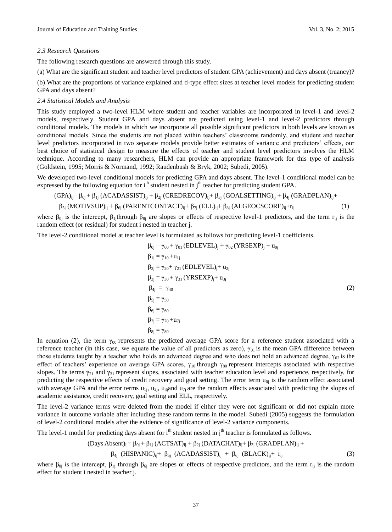#### *2.3 Research Questions*

The following research questions are answered through this study.

(a) What are the significant student and teacher level predictors of student GPA (achievement) and days absent (truancy)?

(b) What are the proportions of variance explained and d-type effect sizes at teacher level models for predicting student GPA and days absent?

#### *2.4 Statistical Models and Analysis*

This study employed a two-level HLM where student and teacher variables are incorporated in level-1 and level-2 models, respectively. Student GPA and days absent are predicted using level-1 and level-2 predictors through conditional models. The models in which we incorporate all possible significant predictors in both levels are known as conditional models. Since the students are not placed within teachers' classrooms randomly, and student and teacher level predictors incorporated in two separate models provide better estimates of variance and predictors' effects, our best choice of statistical design to measure the effects of teacher and student level predictors involves the HLM technique. According to many researchers, HLM can provide an appropriate framework for this type of analysis (Goldstein, 1995; Morris & Normand, 1992; Raudenbush & Bryk, 2002; Subedi, 2005).

We developed two-level conditional models for predicting GPA and days absent. The level-1 conditional model can be expressed by the following equation for  $i<sup>th</sup>$  student nested in  $j<sup>th</sup>$  teacher for predicting student GPA.

$$
(GPA)_{ij} = \beta_{0j} + \beta_{1j} (ACADASSIST)_{ij} + \beta_{2j} (CREDRECOV)_{ij} + \beta_{3j} (GOALSETTING)_{ij} + \beta_{4j} (GRADPLAN)_{ij} + \beta_{5j} (MOTIVSUP)_{ij} + \beta_{6j} (PARENTCONTACT)_{ij} + \beta_{7j} (ELL)_{ij} + \beta_{8j} (ALGEOCSCORE)_{ij} + r_{ij}
$$
\n(1)

where  $\beta_{0j}$  is the intercept,  $\beta_{1j}$ through  $\beta_{8j}$  are slopes or effects of respective level-1 predictors, and the term r<sub>ij</sub> is the random effect (or residual) for student i nested in teacher j.

The level-2 conditional model at teacher level is formulated as follows for predicting level-1 coefficients.

$$
\beta_{0j} = \gamma_{00} + \gamma_{01} (EDLEVEL)_j + \gamma_{02} (YRSEXP)_j + u_{0j}
$$
\n
$$
\beta_{1j} = \gamma_{10} + u_{1j}
$$
\n
$$
\beta_{2j} = \gamma_{20} + \gamma_{21} (EDLEVEL)_j + u_{2j}
$$
\n
$$
\beta_{3j} = \gamma_{30} + \gamma_{31} (YRSEXP)_j + u_{3j}
$$
\n
$$
\beta_{4j} = \gamma_{40}
$$
\n
$$
\beta_{5j} = \gamma_{50}
$$
\n
$$
\beta_{6j} = \gamma_{60}
$$
\n
$$
\beta_{7j} = \gamma_{70} + u_{7j}
$$
\n
$$
\beta_{8j} = \gamma_{80}
$$
\n(2)

In equation (2), the term  $\gamma_{00}$  represents the predicted average GPA score for a reference student associated with a reference teacher (in this case, we equate the value of all predictors as zero),  $\gamma_{01}$  is the mean GPA difference between those students taught by a teacher who holds an advanced degree and who does not hold an advanced degree,  $\gamma_{02}$  is the effect of teachers' experience on average GPA scores,  $\gamma_{10}$  through  $\gamma_{80}$  represent intercepts associated with respective slopes. The terms  $\gamma_{21}$  and  $\gamma_{31}$  represent slopes, associated with teacher education level and experience, respectively, for predicting the respective effects of credit recovery and goal setting. The error term  $u_{0i}$  is the random effect associated with average GPA and the error terms  $u_{1j}$ ,  $u_{2j}$ ,  $u_{3j}$  and  $u_{7j}$  are the random effects associated with predicting the slopes of academic assistance, credit recovery, goal setting and ELL, respectively.

The level-2 variance terms were deleted from the model if either they were not significant or did not explain more variance in outcome variable after including these random terms in the model. Subedi (2005) suggests the formulation of level-2 conditional models after the evidence of significance of level-2 variance components.

The level-1 model for predicting days absent for  $i<sup>th</sup>$  student nested in  $j<sup>th</sup>$  teacher is formulated as follows.

(Days Absent)<sub>ij</sub>= 
$$
\beta_{0j} + \beta_{1j}
$$
 (ACTSAT)<sub>ij</sub> +  $\beta_{2j}$  (DATACHAT)<sub>ij</sub> +  $\beta_{3j}$  (GRADPLAN)<sub>ij</sub> +

 $\beta_{4j}$  (HISPANIC)<sub>ij</sub>+  $\beta_{5j}$  (ACADASSIST)<sub>ij</sub> +  $\beta_{6j}$  (BLACK)<sub>ij</sub>+ r<sub>ij</sub> (3)

where  $\beta_{0j}$  is the intercept,  $\beta_{1j}$  through  $\beta_{6j}$  are slopes or effects of respective predictors, and the term  $r_{ij}$  is the random effect for student i nested in teacher j.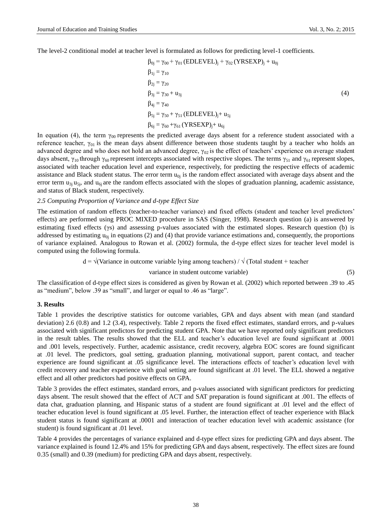The level-2 conditional model at teacher level is formulated as follows for predicting level-1 coefficients.

$$
\beta_{0j} = \gamma_{00} + \gamma_{01} (EDLEVEL)_j + \gamma_{02} (YRSEXP)_j + u_{0j}
$$
  
\n
$$
\beta_{1j} = \gamma_{10}
$$
  
\n
$$
\beta_{2j} = \gamma_{20}
$$
  
\n
$$
\beta_{3j} = \gamma_{30} + u_{3j}
$$
  
\n
$$
\beta_{4j} = \gamma_{40}
$$
  
\n
$$
\beta_{5j} = \gamma_{50} + \gamma_{51} (EDLEVEL)_j + u_{5j}
$$
  
\n
$$
\beta_{6j} = \gamma_{60} + \gamma_{61} (YRSEXP)_j + u_{6j}
$$
 (4)

In equation (4), the term  $\gamma_{00}$  represents the predicted average days absent for a reference student associated with a reference teacher,  $γ_{01}$  is the mean days absent difference between those students taught by a teacher who holds an advanced degree and who does not hold an advanced degree,  $\gamma_{02}$  is the effect of teachers' experience on average student days absent,  $\gamma_{10}$  through  $\gamma_{60}$  represent intercepts associated with respective slopes. The terms  $\gamma_{51}$  and  $\gamma_{61}$  represent slopes, associated with teacher education level and experience, respectively, for predicting the respective effects of academic assistance and Black student status. The error term  $u_{0i}$  is the random effect associated with average days absent and the error term  $u_{3j}u_{5j}$ , and  $u_{6j}$  are the random effects associated with the slopes of graduation planning, academic assistance, and status of Black student, respectively.

#### *2.5 Computing Proportion of Variance and d-type Effect Size*

The estimation of random effects (teacher-to-teacher variance) and fixed effects (student and teacher level predictors' effects) are performed using PROC MIXED procedure in SAS (Singer, 1998). Research question (a) is answered by estimating fixed effects (γs) and assessing p-values associated with the estimated slopes. Research question (b) is addressed by estimating  $u_{0i}$  in equations (2) and (4) that provide variance estimations and, consequently, the proportions of variance explained. Analogous to Rowan et al. (2002) formula, the d-type effect sizes for teacher level model is computed using the following formula.

 $d = \sqrt{(Variance in outcome variable lying among teachers) / \sqrt{(Total student + teacher)} }$ 

$$
variance in student outcome variable) \tag{5}
$$

The classification of d-type effect sizes is considered as given by Rowan et al. (2002) which reported between .39 to .45 as "medium", below .39 as "small", and larger or equal to .46 as "large".

#### **3. Results**

Table 1 provides the descriptive statistics for outcome variables, GPA and days absent with mean (and standard deviation) 2.6 (0.8) and 1.2 (3.4), respectively. Table 2 reports the fixed effect estimates, standard errors, and p-values associated with significant predictors for predicting student GPA. Note that we have reported only significant predictors in the result tables. The results showed that the ELL and teacher's education level are found significant at .0001 and .001 levels, respectively. Further, academic assistance, credit recovery, algebra EOC scores are found significant at .01 level. The predictors, goal setting, graduation planning, motivational support, parent contact, and teacher experience are found significant at .05 significance level. The interactions effects of teacher's education level with credit recovery and teacher experience with goal setting are found significant at .01 level. The ELL showed a negative effect and all other predictors had positive effects on GPA.

Table 3 provides the effect estimates, standard errors, and p-values associated with significant predictors for predicting days absent. The result showed that the effect of ACT and SAT preparation is found significant at .001. The effects of data chat, graduation planning, and Hispanic status of a student are found significant at .01 level and the effect of teacher education level is found significant at .05 level. Further, the interaction effect of teacher experience with Black student status is found significant at .0001 and interaction of teacher education level with academic assistance (for student) is found significant at .01 level.

Table 4 provides the percentages of variance explained and d-type effect sizes for predicting GPA and days absent. The variance explained is found 12.4% and 15% for predicting GPA and days absent, respectively. The effect sizes are found 0.35 (small) and 0.39 (medium) for predicting GPA and days absent, respectively.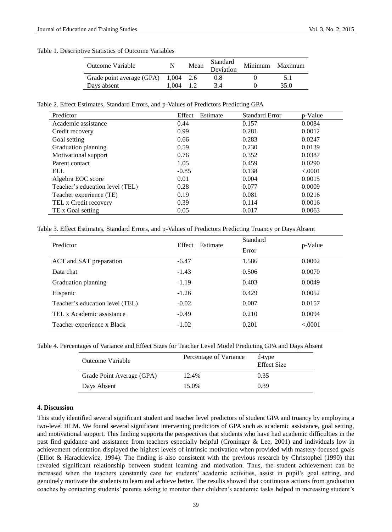#### Table 1. Descriptive Statistics of Outcome Variables

| Outcome Variable                      |             | Mean | Standard<br>Deviation | Minimum Maximum |
|---------------------------------------|-------------|------|-----------------------|-----------------|
| Grade point average $(GPA)$ 1,004 2.6 |             |      | 0.8                   |                 |
| Days absent                           | $1.004$ 1.2 |      | 3.4                   | 35.0            |

Table 2. Effect Estimates, Standard Errors, and p-Values of Predictors Predicting GPA

| Predictor                       | Effect<br>Estimate | <b>Standard Error</b> | p-Value |
|---------------------------------|--------------------|-----------------------|---------|
| Academic assistance             | 0.44               | 0.157                 | 0.0084  |
| Credit recovery                 | 0.99               | 0.281                 | 0.0012  |
| Goal setting                    | 0.66               | 0.283                 | 0.0247  |
| Graduation planning             | 0.59               | 0.230                 | 0.0139  |
| Motivational support            | 0.76               | 0.352                 | 0.0387  |
| Parent contact                  | 1.05               | 0.459                 | 0.0290  |
| ELL                             | $-0.85$            | 0.138                 | < .0001 |
| Algebra EOC score               | 0.01               | 0.004                 | 0.0015  |
| Teacher's education level (TEL) | 0.28               | 0.077                 | 0.0009  |
| Teacher experience (TE)         | 0.19               | 0.081                 | 0.0216  |
| TEL x Credit recovery           | 0.39               | 0.114                 | 0.0016  |
| TE x Goal setting               | 0.05               | 0.017                 | 0.0063  |

Table 3. Effect Estimates, Standard Errors, and p-Values of Predictors Predicting Truancy or Days Absent

| Predictor                       | Effect<br>Estimate | Standard | p-Value |  |
|---------------------------------|--------------------|----------|---------|--|
|                                 |                    | Error    |         |  |
| ACT and SAT preparation         | $-6.47$            | 1.586    | 0.0002  |  |
| Data chat                       | $-1.43$            | 0.506    | 0.0070  |  |
| Graduation planning             | $-1.19$            | 0.403    | 0.0049  |  |
| Hispanic                        | $-1.26$            | 0.429    | 0.0052  |  |
| Teacher's education level (TEL) | $-0.02$            | 0.007    | 0.0157  |  |
| TEL x Academic assistance       | $-0.49$            | 0.210    | 0.0094  |  |
| Teacher experience x Black      | $-1.02$            | 0.201    | < .0001 |  |

Table 4. Percentages of Variance and Effect Sizes for Teacher Level Model Predicting GPA and Days Absent

| Outcome Variable          | Percentage of Variance | d-type<br><b>Effect Size</b> |
|---------------------------|------------------------|------------------------------|
| Grade Point Average (GPA) | 12.4%                  | 0.35                         |
| Days Absent               | 15.0%                  | 0.39                         |

#### **4. Discussion**

This study identified several significant student and teacher level predictors of student GPA and truancy by employing a two-level HLM. We found several significant intervening predictors of GPA such as academic assistance, goal setting, and motivational support. This finding supports the perspectives that students who have had academic difficulties in the past find guidance and assistance from teachers especially helpful (Croninger & Lee, 2001) and individuals low in achievement orientation displayed the highest levels of intrinsic motivation when provided with mastery-focused goals (Elliot & Harackiewicz, 1994). The finding is also consistent with the previous research by Christophel (1990) that revealed significant relationship between student learning and motivation. Thus, the student achievement can be increased when the teachers constantly care for students' academic activities, assist in pupil's goal setting, and genuinely motivate the students to learn and achieve better. The results showed that continuous actions from graduation coaches by contacting students' parents asking to monitor their children's academic tasks helped in increasing student's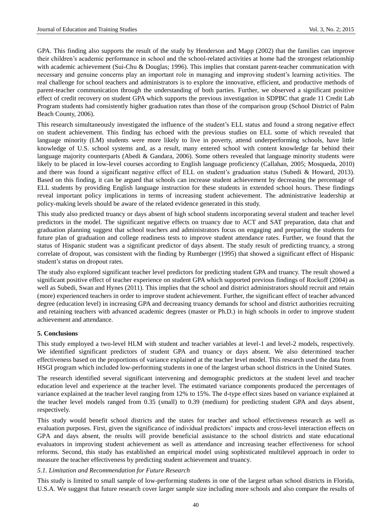GPA. This finding also supports the result of the study by Henderson and Mapp (2002) that the families can improve their children's academic performance in school and the school-related activities at home had the strongest relationship with academic achievement (Sui-Chu & Douglas; 1996). This implies that constant parent-teacher communication with necessary and genuine concerns play an important role in managing and improving student's learning activities. The real challenge for school teachers and administrators is to explore the innovative, efficient, and productive methods of parent-teacher communication through the understanding of both parties. Further, we observed a significant positive effect of credit recovery on student GPA which supports the previous investigation in SDPBC that grade 11 Credit Lab Program students had consistently higher graduation rates than those of the comparison group (School District of Palm Beach County, 2006).

This research simultaneously investigated the influence of the student's ELL status and found a strong negative effect on student achievement. This finding has echoed with the previous studies on ELL some of which revealed that language minority (LM) students were more likely to live in poverty, attend underperforming schools, have little knowledge of U.S. school systems and, as a result, many entered school with content knowledge far behind their language majority counterparts (Abedi & Gandara, 2006). Some others revealed that language minority students were likely to be placed in low-level courses according to English language proficiency (Callahan, 2005; Mosqueda, 2010) and there was found a significant negative effect of ELL on student's graduation status (Subedi & Howard, 2013). Based on this finding, it can be argued that schools can increase student achievement by decreasing the percentage of ELL students by providing English language instruction for these students in extended school hours. These findings reveal important policy implications in terms of increasing student achievement. The administrative leadership at policy-making levels should be aware of the related evidence generated in this study.

This study also predicted truancy or days absent of high school students incorporating several student and teacher level predictors in the model. The significant negative effects on truancy due to ACT and SAT preparation, data chat and graduation planning suggest that school teachers and administrators focus on engaging and preparing the students for future plan of graduation and college readiness tests to improve student attendance rates. Further, we found that the status of Hispanic student was a significant predictor of days absent. The study result of predicting truancy, a strong correlate of dropout, was consistent with the finding by Rumberger (1995) that showed a significant effect of Hispanic student's status on dropout rates.

The study also explored significant teacher level predictors for predicting student GPA and truancy. The result showed a significant positive effect of teacher experience on student GPA which supported previous findings of Rockoff (2004) as well as Subedi, Swan and Hynes (2011). This implies that the school and district administrators should recruit and retain (more) experienced teachers in order to improve student achievement. Further, the significant effect of teacher advanced degree (education level) in increasing GPA and decreasing truancy demands for school and district authorities recruiting and retaining teachers with advanced academic degrees (master or Ph.D.) in high schools in order to improve student achievement and attendance.

## **5. Conclusions**

This study employed a two-level HLM with student and teacher variables at level-1 and level-2 models, respectively. We identified significant predictors of student GPA and truancy or days absent. We also determined teacher effectiveness based on the proportions of variance explained at the teacher level model. This research used the data from HSGI program which included low-performing students in one of the largest urban school districts in the United States.

The research identified several significant intervening and demographic predictors at the student level and teacher education level and experience at the teacher level. The estimated variance components produced the percentages of variance explained at the teacher level ranging from 12% to 15%. The d-type effect sizes based on variance explained at the teacher level models ranged from 0.35 (small) to 0.39 (medium) for predicting student GPA and days absent, respectively.

This study would benefit school districts and the states for teacher and school effectiveness research as well as evaluation purposes. First, given the significance of individual predictors' impacts and cross-level interaction effects on GPA and days absent, the results will provide beneficial assistance to the school districts and state educational evaluators in improving student achievement as well as attendance and increasing teacher effectiveness for school reforms. Second, this study has established an empirical model using sophisticated multilevel approach in order to measure the teacher effectiveness by predicting student achievement and truancy.

#### *5.1. Limitation and Recommendation for Future Research*

This study is limited to small sample of low-performing students in one of the largest urban school districts in Florida, U.S.A. We suggest that future research cover larger sample size including more schools and also compare the results of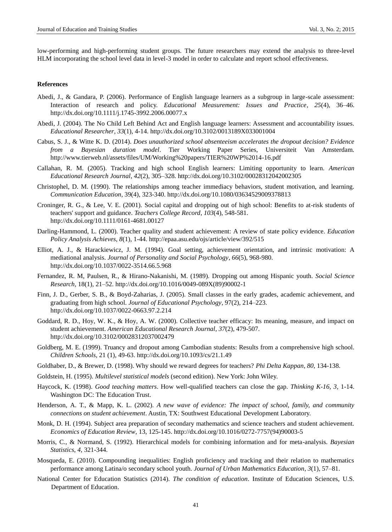low-performing and high-performing student groups. The future researchers may extend the analysis to three-level HLM incorporating the school level data in level-3 model in order to calculate and report school effectiveness.

#### **References**

- Abedi, J., & Gandara, P. (2006). Performance of English language learners as a subgroup in large-scale assessment: Interaction of research and policy. *Educational Measurement: Issues and Practice*, *25*(4), 36–46. http://dx.doi.org/10.1111/j.1745-3992.2006.00077.x
- Abedi, J. (2004). The No Child Left Behind Act and English language learners: Assessment and accountability issues. *Educational Researcher*, *33*(1), 4-14. http://dx.doi.org/10.3102/0013189X033001004
- Cabus, S. J., & Witte K. D. (2014). *Does unauthorized school absenteeism accelerates the dropout decision? Evidence from a Bayesian duration model*. Tier Working Paper Series, Universiteit Van Amsterdam. http://www.tierweb.nl/assets/files/UM/Working%20papers/TIER%20WP%2014-16.pdf
- Callahan, R. M. (2005). Tracking and high school English learners: Limiting opportunity to learn. *American Educational Research Journal*, *42*(2), 305–328. http://dx.doi.org/10.3102/00028312042002305
- Christophel, D. M. (1990). The relationships among teacher immediacy behaviors, student motivation, and learning. *Communication Education*, 39(4), 323-340. http://dx.doi.org/10.1080/03634529009378813
- Croninger, R. G., & Lee, V. E. (2001). Social capital and dropping out of high school: Benefits to at-risk students of teachers' support and guidance. *Teachers College Record*, *103*(4), 548-581. http://dx.doi.org/10.1111/0161-4681.00127
- Darling-Hammond, L. (2000). Teacher quality and student achievement: A review of state policy evidence. *Education Policy Analysis Achieves*, *8*(1), 1-44. http://epaa.asu.edu/ojs/article/view/392/515
- Elliot, A. J., & Harackiewicz, J. M. (1994). Goal setting, achievement orientation, and intrinsic motivation: A mediational analysis. *Journal of Personality and Social Psychology*, *66*(5), 968-980. http://dx.doi.org/10.1037/0022-3514.66.5.968
- Fernandez, [R. M,](http://www.sciencedirect.com/science/article/pii/0049089X89900021) Paulsen, R., & [Hirano-Nakanishi,](http://www.sciencedirect.com/science/article/pii/0049089X89900021) M. (1989). Dropping out among Hispanic youth. *[Social Science](http://www.sciencedirect.com/science/journal/0049089X)  [Research](http://www.sciencedirect.com/science/journal/0049089X)*[, 18\(1\)](http://www.sciencedirect.com/science/journal/0049089X/18/1), 21–52. http://dx.doi.org/10.1016/0049-089X(89)90002-1
- Finn, J. D., Gerber, S. B., & Boyd-Zaharias, J. (2005). Small classes in the early grades, academic achievement, and graduating from high school. *Journal of Educational Psychology*, 97(2), 214–223. http://dx.doi.org/10.1037/0022-0663.97.2.214
- Goddard, R. D., Hoy, [W. K.,](http://aer.sagepub.com/search?author1=Wayne+K.+Hoy&sortspec=date&submit=Submit) & Hoy, [A. W. \(](http://aer.sagepub.com/search?author1=Anita+Woolfolk+Hoy&sortspec=date&submit=Submit)2000). Collective teacher efficacy: Its meaning, measure, and impact on student achievement. *American Educational Research Journal*, *37*(2), 479-507. http://dx.doi.org/10.3102/00028312037002479
- Goldberg, M. E. (1999). Truancy and dropout among Cambodian students: Results from a comprehensive high school. *Children Schools*, 21 (1), 49-63. http://dx.doi.org/10.1093/cs/21.1.49
- Goldhaber, D., & Brewer, D. (1998). Why should we reward degrees for teachers? *Phi Delta Kappan*, *80*, 134-138.
- Goldstein, H. (1995). *Multilevel statistical models* (second edition). New York: John Wiley.
- Haycock, K. (1998). *Good teaching matters*. How well-qualified teachers can close the gap. *Thinking K-16, 3,* 1-14. Washington DC: The Education Trust.
- Henderson, A. T., & Mapp, K. L. (2002). *A new wave of evidence: The impact of school, family, and community connections on student achievement*. Austin, TX: Southwest Educational Development Laboratory.
- Monk, D. H. (1994). Subject area preparation of secondary mathematics and science teachers and student achievement. *Economics of Education Review*, 13, 125-145. http://dx.doi.org/10.1016/0272-7757(94)90003-5
- Morris, C., & Normand, S. (1992). Hierarchical models for combining information and for meta-analysis. *Bayesian Statistics*, *4*, 321-344.
- Mosqueda, E. (2010). Compounding inequalities: English proficiency and tracking and their relation to mathematics performance among Latina/o secondary school youth. *Journal of Urban Mathematics Education*, *3*(1), 57–81.
- [National Center for Education Statistics](http://nces.ed.gov/) (2014). *The condition of education*. [Institute of Education Sciences,](http://ies.ed.gov/) [U.S.](http://www.ed.gov/)  [Department of Education.](http://www.ed.gov/)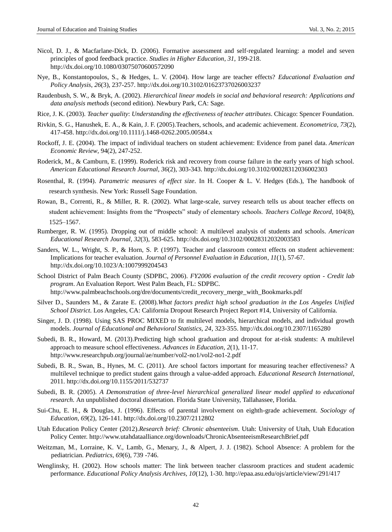- Nicol, D. J., & Macfarlane-Dick, D. (2006). Formative assessment and self-regulated learning: a model and seven principles of good feedback practice. *Studies in Higher Education*, *31*, 199-218. http://dx.doi.org/10.1080/03075070600572090
- Nye, B., Konstantopoulos, S., & Hedges, L. V. (2004). How large are teacher effects? *Educational Evaluation and Policy Analysis*, *26*(3), 237-257. http://dx.doi.org/10.3102/01623737026003237
- Raudenbush, S. W., & Bryk, A. (2002). *Hierarchical linear models in social and behavioral research: Applications and data analysis methods* (second edition). Newbury Park, CA: Sage.
- Rice, J. K. (2003). *Teacher quality*: *Understanding the effectiveness of teacher attributes*. Chicago: Spencer Foundation.
- Rivkin, S. G., Hanushek, E. A., & Kain, J. F. (2005).Teachers, schools, and academic achievement. *Econometrica*, *73*(2), 417-458. http://dx.doi.org/10.1111/j.1468-0262.2005.00584.x
- Rockoff, J. E. (2004). The impact of individual teachers on student achievement: Evidence from panel data. *American Economic Review*, 94(2), 247-252.
- Roderick, M., & Camburn, E. (1999). Roderick risk and recovery from course failure in the early years of high school. *American Educational Research Journal*, *36*(2), 303-343. http://dx.doi.org/10.3102/00028312036002303
- Rosenthal, R. (1994). *Parametric measures of effect size*. In H. Cooper & L. V. Hedges (Eds.), The handbook of research synthesis. New York: Russell Sage Foundation.
- Rowan, B., Correnti, R., & Miller, R. R. (2002). What large-scale, survey research tells us about teacher effects on student achievement: Insights from the "Prospects" study of elementary schools. *Teachers College Record*, 104(8), 1525–1567.
- Rumberger, R. W. (1995). Dropping out of middle school: A multilevel analysis of students and schools. *American Educational Research Journal*, *32*(3), 583-625. http://dx.doi.org/10.3102/00028312032003583
- Sanders, [W. L., Wright, S. P., &](http://link.springer.com/search?facet-author=%22William+L.+Sanders%22) Horn, [S. P. \(](http://link.springer.com/search?facet-author=%22Sandra+P.+Horn%22)1997). Teacher and classroom context effects on student achievement: Implications for teacher evaluation. *[Journal of Personnel Evaluation in Education](http://link.springer.com/journal/11092)*, *11*(1), 57-67. http://dx.doi.org/10.1023/A:1007999204543
- School District of Palm Beach County (SDPBC, 2006). *FY2006 evaluation of the credit recovery option - Credit lab program*. An Evaluation Report. West Palm Beach, FL: SDPBC. http://www.palmbeachschools.org/dre/documents/credit\_recovery\_merge\_with\_Bookmarks.pdf
- Silver D., Saunders M., & Zarate E. (2008).*What factors predict high school graduation in the Los Angeles Unified School District*. Los Angeles, CA: California Dropout Research Project Report #14, University of California.
- Singer, J. D. (1998). Using SAS PROC MIXED to fit multilevel models, hierarchical models, and individual growth models. *Journal of Educational and Behavioral Statistics, 24*, 323-355. http://dx.doi.org/10.2307/1165280
- Subedi, B. R., Howard, M. (2013).Predicting high school graduation and dropout for at-risk students: A multilevel approach to measure school effectiveness. *Advances in Education, 2*(1), 11-17. http://www.researchpub.org/journal/ae/number/vol2-no1/vol2-no1-2.pdf
- Subedi, B. R., Swan, B., Hynes, M. C. (2011). Are school factors important for measuring teacher effectiveness? A multilevel technique to predict student gains through a value-added approach. *Educational Research International*, 2011. http://dx.doi.org/10.1155/2011/532737
- Subedi, B. R. (2005). *A Demonstration of three-level hierarchical generalized linear model applied to educational research.* An unpublished doctoral dissertation. Florida State University, Tallahassee, Florida.
- Sui-Chu, E. H., & Douglas, J. (1996). Effects of parental involvement on eighth-grade achievement. *Sociology of Education*, *69*(2), 126-141. http://dx.doi.org/10.2307/2112802
- Utah Education Policy Center (2012).*Research brief: Chronic absenteeism*. Utah: University of Utah, Utah Education Policy Center. http://www.utahdataalliance.org/downloads/ChronicAbsenteeismResearchBrief.pdf
- [Weitzman,](http://pediatrics.aappublications.org/search?author1=Michael+Weitzman&sortspec=date&submit=Submit) M., Lorraine, K. V., Lamb, [G.,](http://pediatrics.aappublications.org/search?author1=George+Lamb&sortspec=date&submit=Submit) Menary, [J.,](http://pediatrics.aappublications.org/search?author1=Jean+Menary&sortspec=date&submit=Submit) & Alpert, J. [J. \(](http://pediatrics.aappublications.org/search?author1=Joel+J.+Alpert&sortspec=date&submit=Submit)1982). School Absence: A problem for the pediatrician. *Pediatrics*, *69*(6), 739 -746.
- Wenglinsky, H. (2002). How schools matter: The link between teacher classroom practices and student academic performance. *Educational Policy Analysis Archives, 10*(12), 1-30. http://epaa.asu.edu/ojs/article/view/291/417